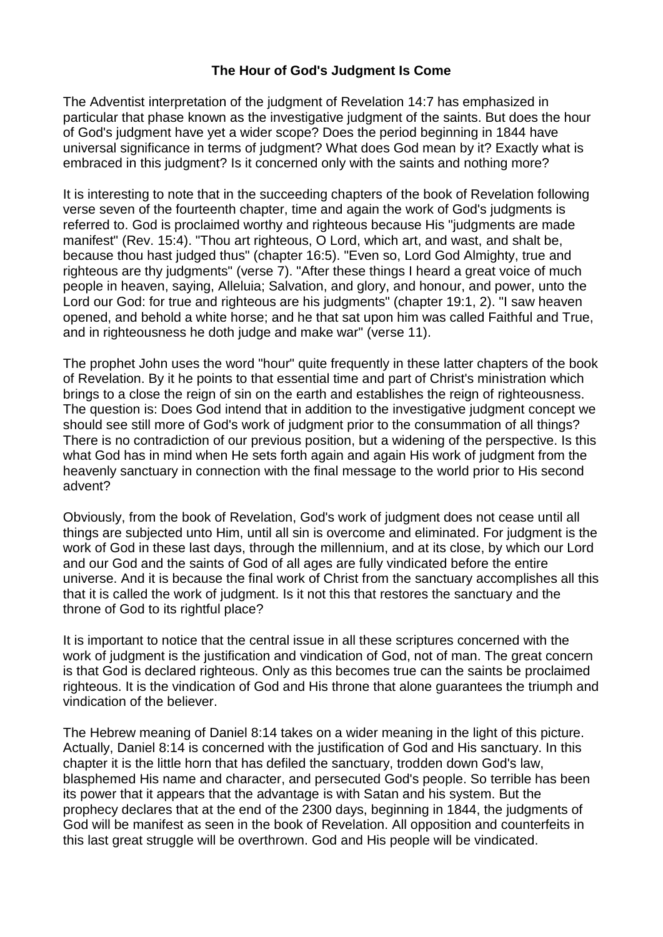## **The Hour of God's Judgment Is Come**

The Adventist interpretation of the judgment of [Revelation](https://biblia.com/bible/esv/Rev%2014.7) 14:7 has emphasized in particular that phase known as the investigative judgment of the saints. But does the hour of God's judgment have yet a wider scope? Does the period beginning in 1844 have universal significance in terms of judgment? What does God mean by it? Exactly what is embraced in this judgment? Is it concerned only with the saints and nothing more?

It is interesting to note that in the succeeding chapters of the book of Revelation following verse seven of the fourteenth chapter, time and again the work of God's judgments is referred to. God is proclaimed worthy and righteous because His "judgments are made manifest" [\(Rev.](https://biblia.com/bible/esv/Rev.%2015.4) 15:4). "Thou art righteous, O Lord, which art, and wast, and shalt be, because thou hast judged thus" (chapter 16:5). "Even so, Lord God Almighty, true and righteous are thy judgments" (verse 7). "After these things I heard a great voice of much people in heaven, saying, Alleluia; Salvation, and glory, and honour, and power, unto the Lord our God: for true and righteous are his judgments" (chapter 19:1, 2). "I saw heaven opened, and behold a white horse; and he that sat upon him was called Faithful and True, and in righteousness he doth judge and make war" (verse 11).

The prophet John uses the word "hour" quite frequently in these latter chapters of the book of Revelation. By it he points to that essential time and part of Christ's ministration which brings to a close the reign of sin on the earth and establishes the reign of righteousness. The question is: Does God intend that in addition to the investigative judgment concept we should see still more of God's work of judgment prior to the consummation of all things? There is no contradiction of our previous position, but a widening of the perspective. Is this what God has in mind when He sets forth again and again His work of judgment from the heavenly sanctuary in connection with the final message to the world prior to His second advent?

Obviously, from the book of Revelation, God's work of judgment does not cease until all things are subjected unto Him, until all sin is overcome and eliminated. For judgment is the work of God in these last days, through the millennium, and at its close, by which our Lord and our God and the saints of God of all ages are fully vindicated before the entire universe. And it is because the final work of Christ from the sanctuary accomplishes all this that it is called the work of judgment. Is it not this that restores the sanctuary and the throne of God to its rightful place?

It is important to notice that the central issue in all these scriptures concerned with the work of judgment is the justification and vindication of God, not of man. The great concern is that God is declared righteous. Only as this becomes true can the saints be proclaimed righteous. It is the vindication of God and His throne that alone guarantees the triumph and vindication of the believer.

The Hebrew meaning of [Daniel](https://biblia.com/bible/esv/Dan%208.14) 8:14 takes on a wider meaning in the light of this picture. Actually, [Daniel](https://biblia.com/bible/esv/Dan%208.14) 8:14 is concerned with the justification of God and His sanctuary. In this chapter it is the little horn that has defiled the sanctuary, trodden down God's law, blasphemed His name and character, and persecuted God's people. So terrible has been its power that it appears that the advantage is with Satan and his system. But the prophecy declares that at the end of the 2300 days, beginning in 1844, the judgments of God will be manifest as seen in the book of Revelation. All opposition and counterfeits in this last great struggle will be overthrown. God and His people will be vindicated.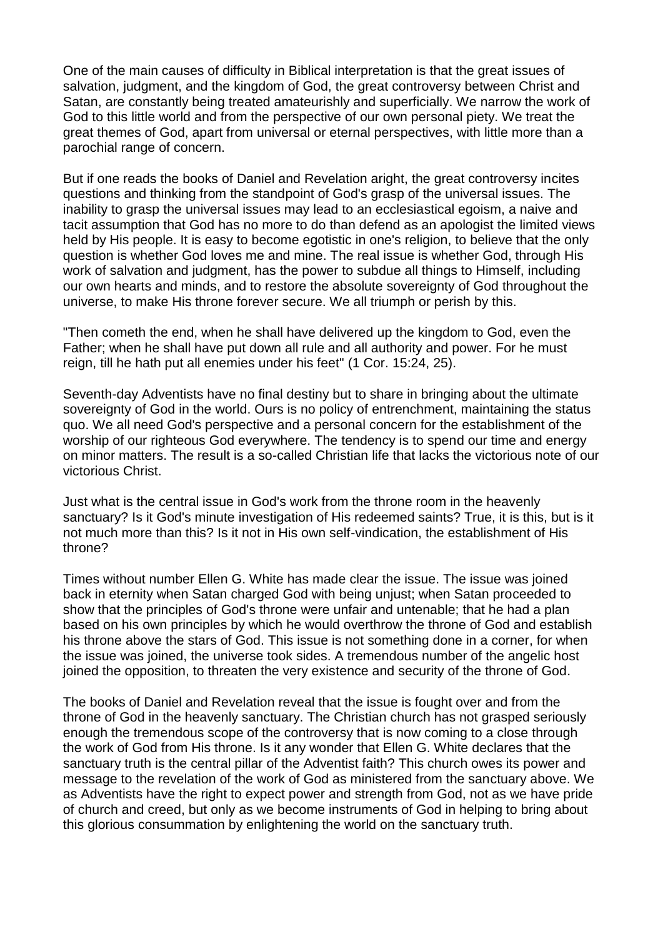One of the main causes of difficulty in Biblical interpretation is that the great issues of salvation, judgment, and the kingdom of God, the great controversy between Christ and Satan, are constantly being treated amateurishly and superficially. We narrow the work of God to this little world and from the perspective of our own personal piety. We treat the great themes of God, apart from universal or eternal perspectives, with little more than a parochial range of concern.

But if one reads the books of Daniel and Revelation aright, the great controversy incites questions and thinking from the standpoint of God's grasp of the universal issues. The inability to grasp the universal issues may lead to an ecclesiastical egoism, a naive and tacit assumption that God has no more to do than defend as an apologist the limited views held by His people. It is easy to become egotistic in one's religion, to believe that the only question is whether God loves me and mine. The real issue is whether God, through His work of salvation and judgment, has the power to subdue all things to Himself, including our own hearts and minds, and to restore the absolute sovereignty of God throughout the universe, to make His throne forever secure. We all triumph or perish by this.

"Then cometh the end, when he shall have delivered up the kingdom to God, even the Father; when he shall have put down all rule and all authority and power. For he must reign, till he hath put all enemies under his feet" (1 Cor. [15:24,](https://biblia.com/bible/esv/1%20Cor.%2015.24) [25\)](https://biblia.com/bible/esv/1%20Cor%2015.25).

Seventh-day Adventists have no final destiny but to share in bringing about the ultimate sovereignty of God in the world. Ours is no policy of entrenchment, maintaining the status quo. We all need God's perspective and a personal concern for the establishment of the worship of our righteous God everywhere. The tendency is to spend our time and energy on minor matters. The result is a so-called Christian life that lacks the victorious note of our victorious Christ.

Just what is the central issue in God's work from the throne room in the heavenly sanctuary? Is it God's minute investigation of His redeemed saints? True, it is this, but is it not much more than this? Is it not in His own self-vindication, the establishment of His throne?

Times without number Ellen G. White has made clear the issue. The issue was joined back in eternity when Satan charged God with being unjust; when Satan proceeded to show that the principles of God's throne were unfair and untenable; that he had a plan based on his own principles by which he would overthrow the throne of God and establish his throne above the stars of God. This issue is not something done in a corner, for when the issue was joined, the universe took sides. A tremendous number of the angelic host joined the opposition, to threaten the very existence and security of the throne of God.

The books of Daniel and Revelation reveal that the issue is fought over and from the throne of God in the heavenly sanctuary. The Christian church has not grasped seriously enough the tremendous scope of the controversy that is now coming to a close through the work of God from His throne. Is it any wonder that Ellen G. White declares that the sanctuary truth is the central pillar of the Adventist faith? This church owes its power and message to the revelation of the work of God as ministered from the sanctuary above. We as Adventists have the right to expect power and strength from God, not as we have pride of church and creed, but only as we become instruments of God in helping to bring about this glorious consummation by enlightening the world on the sanctuary truth.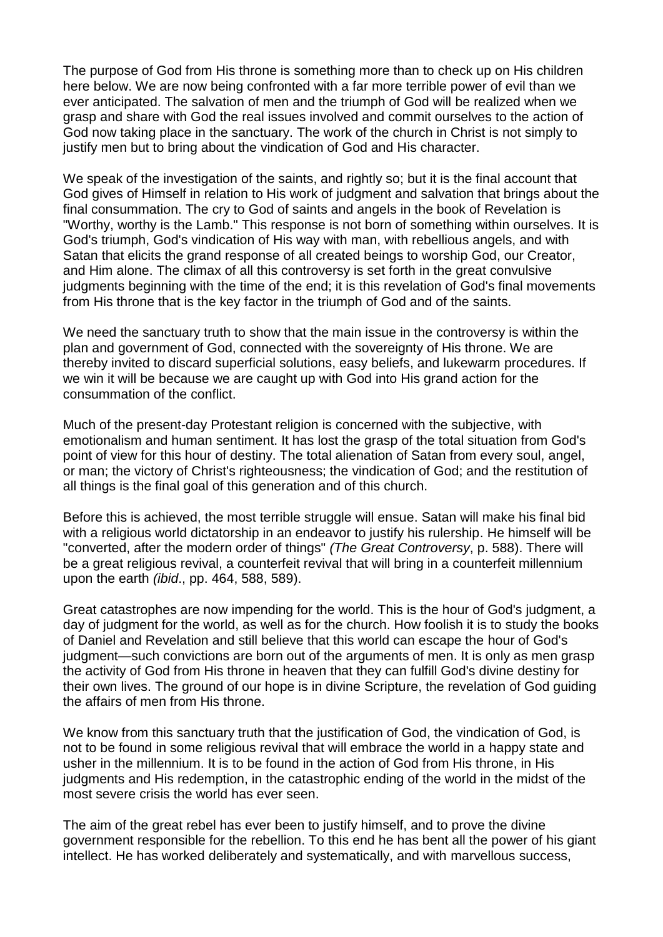The purpose of God from His throne is something more than to check up on His children here below. We are now being confronted with a far more terrible power of evil than we ever anticipated. The salvation of men and the triumph of God will be realized when we grasp and share with God the real issues involved and commit ourselves to the action of God now taking place in the sanctuary. The work of the church in Christ is not simply to justify men but to bring about the vindication of God and His character.

We speak of the investigation of the saints, and rightly so; but it is the final account that God gives of Himself in relation to His work of judgment and salvation that brings about the final consummation. The cry to God of saints and angels in the book of Revelation is "Worthy, worthy is the Lamb." This response is not born of something within ourselves. It is God's triumph, God's vindication of His way with man, with rebellious angels, and with Satan that elicits the grand response of all created beings to worship God, our Creator, and Him alone. The climax of all this controversy is set forth in the great convulsive judgments beginning with the time of the end; it is this revelation of God's final movements from His throne that is the key factor in the triumph of God and of the saints.

We need the sanctuary truth to show that the main issue in the controversy is within the plan and government of God, connected with the sovereignty of His throne. We are thereby invited to discard superficial solutions, easy beliefs, and lukewarm procedures. If we win it will be because we are caught up with God into His grand action for the consummation of the conflict.

Much of the present-day Protestant religion is concerned with the subjective, with emotionalism and human sentiment. It has lost the grasp of the total situation from God's point of view for this hour of destiny. The total alienation of Satan from every soul, angel, or man; the victory of Christ's righteousness; the vindication of God; and the restitution of all things is the final goal of this generation and of this church.

Before this is achieved, the most terrible struggle will ensue. Satan will make his final bid with a religious world dictatorship in an endeavor to justify his rulership. He himself will be "converted, after the modern order of things" *(The Great Controversy*, p. 588). There will be a great religious revival, a counterfeit revival that will bring in a counterfeit millennium upon the earth *(ibid*., pp. 464, 588, 589).

Great catastrophes are now impending for the world. This is the hour of God's judgment, a day of judgment for the world, as well as for the church. How foolish it is to study the books of Daniel and Revelation and still believe that this world can escape the hour of God's judgment—such convictions are born out of the arguments of men. It is only as men grasp the activity of God from His throne in heaven that they can fulfill God's divine destiny for their own lives. The ground of our hope is in divine Scripture, the revelation of God guiding the affairs of men from His throne.

We know from this sanctuary truth that the justification of God, the vindication of God, is not to be found in some religious revival that will embrace the world in a happy state and usher in the millennium. It is to be found in the action of God from His throne, in His judgments and His redemption, in the catastrophic ending of the world in the midst of the most severe crisis the world has ever seen.

The aim of the great rebel has ever been to justify himself, and to prove the divine government responsible for the rebellion. To this end he has bent all the power of his giant intellect. He has worked deliberately and systematically, and with marvellous success,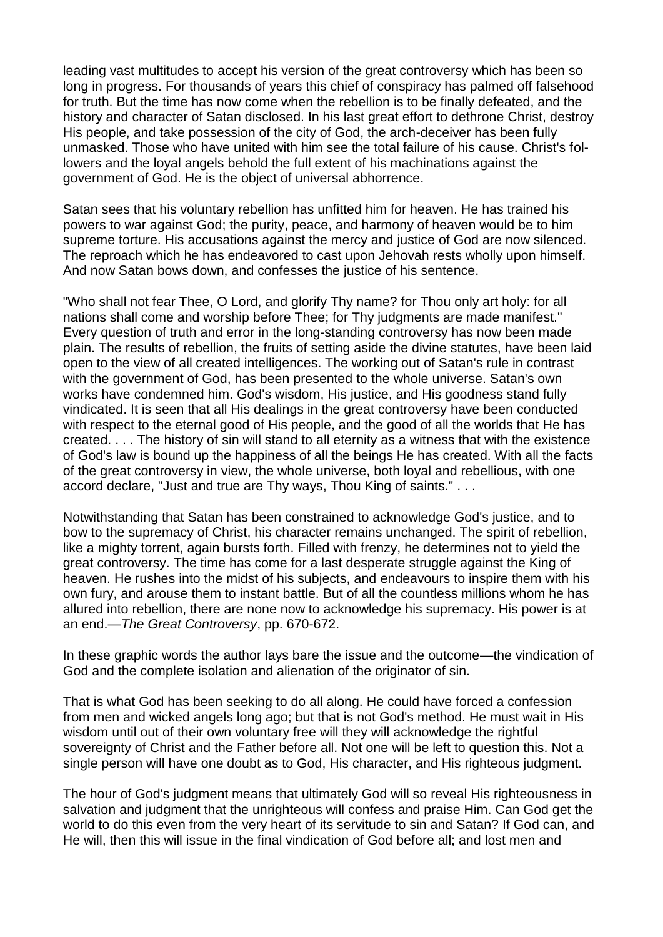leading vast multitudes to accept his version of the great controversy which has been so long in progress. For thousands of years this chief of conspiracy has palmed off falsehood for truth. But the time has now come when the rebellion is to be finally defeated, and the history and character of Satan disclosed. In his last great effort to dethrone Christ, destroy His people, and take possession of the city of God, the arch-deceiver has been fully unmasked. Those who have united with him see the total failure of his cause. Christ's followers and the loyal angels behold the full extent of his machinations against the government of God. He is the object of universal abhorrence.

Satan sees that his voluntary rebellion has unfitted him for heaven. He has trained his powers to war against God; the purity, peace, and harmony of heaven would be to him supreme torture. His accusations against the mercy and justice of God are now silenced. The reproach which he has endeavored to cast upon Jehovah rests wholly upon himself. And now Satan bows down, and confesses the justice of his sentence.

"Who shall not fear Thee, O Lord, and glorify Thy name? for Thou only art holy: for all nations shall come and worship before Thee; for Thy judgments are made manifest." Every question of truth and error in the long-standing controversy has now been made plain. The results of rebellion, the fruits of setting aside the divine statutes, have been laid open to the view of all created intelligences. The working out of Satan's rule in contrast with the government of God, has been presented to the whole universe. Satan's own works have condemned him. God's wisdom, His justice, and His goodness stand fully vindicated. It is seen that all His dealings in the great controversy have been conducted with respect to the eternal good of His people, and the good of all the worlds that He has created. . . . The history of sin will stand to all eternity as a witness that with the existence of God's law is bound up the happiness of all the beings He has created. With all the facts of the great controversy in view, the whole universe, both loyal and rebellious, with one accord declare, "Just and true are Thy ways, Thou King of saints." . . .

Notwithstanding that Satan has been constrained to acknowledge God's justice, and to bow to the supremacy of Christ, his character remains unchanged. The spirit of rebellion, like a mighty torrent, again bursts forth. Filled with frenzy, he determines not to yield the great controversy. The time has come for a last desperate struggle against the King of heaven. He rushes into the midst of his subjects, and endeavours to inspire them with his own fury, and arouse them to instant battle. But of all the countless millions whom he has allured into rebellion, there are none now to acknowledge his supremacy. His power is at an end.—*The Great Controversy*, pp. 670-672.

In these graphic words the author lays bare the issue and the outcome—the vindication of God and the complete isolation and alienation of the originator of sin.

That is what God has been seeking to do all along. He could have forced a confession from men and wicked angels long ago; but that is not God's method. He must wait in His wisdom until out of their own voluntary free will they will acknowledge the rightful sovereignty of Christ and the Father before all. Not one will be left to question this. Not a single person will have one doubt as to God, His character, and His righteous judgment.

The hour of God's judgment means that ultimately God will so reveal His righteousness in salvation and judgment that the unrighteous will confess and praise Him. Can God get the world to do this even from the very heart of its servitude to sin and Satan? If God can, and He will, then this will issue in the final vindication of God before all; and lost men and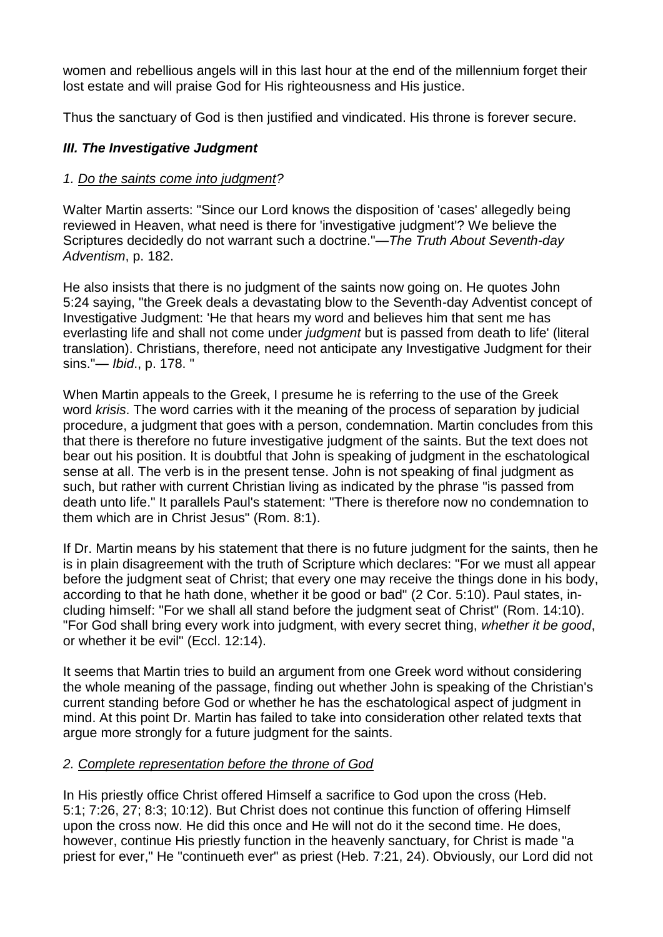women and rebellious angels will in this last hour at the end of the millennium forget their lost estate and will praise God for His righteousness and His justice.

Thus the sanctuary of God is then justified and vindicated. His throne is forever secure.

# *III. The Investigative Judgment*

## *1. Do the saints come into judgment?*

Walter Martin asserts: "Since our Lord knows the disposition of 'cases' allegedly being reviewed in Heaven, what need is there for 'investigative judgment'? We believe the Scriptures decidedly do not warrant such a doctrine."*—The Truth About Seventh-day Adventism*, p. 182.

He also insists that there is no judgment of the saints now going on. He quotes [John](https://biblia.com/bible/esv/John%205.24) [5:24](https://biblia.com/bible/esv/John%205.24) saying, "the Greek deals a devastating blow to the Seventh-day Adventist concept of Investigative Judgment: 'He that hears my word and believes him that sent me has everlasting life and shall not come under *judgment* but is passed from death to life' (literal translation). Christians, therefore, need not anticipate any Investigative Judgment for their sins."— *Ibid*., p. 178. "

When Martin appeals to the Greek, I presume he is referring to the use of the Greek word *krisis*. The word carries with it the meaning of the process of separation by judicial procedure, a judgment that goes with a person, condemnation. Martin concludes from this that there is therefore no future investigative judgment of the saints. But the text does not bear out his position. It is doubtful that John is speaking of judgment in the eschatological sense at all. The verb is in the present tense. John is not speaking of final judgment as such, but rather with current Christian living as indicated by the phrase "is passed from death unto life." It parallels Paul's statement: "There is therefore now no condemnation to them which are in Christ Jesus" [\(Rom.](https://biblia.com/bible/esv/Rom.%208.1) 8:1).

If Dr. Martin means by his statement that there is no future judgment for the saints, then he is in plain disagreement with the truth of Scripture which declares: "For we must all appear before the judgment seat of Christ; that every one may receive the things done in his body, according to that he hath done, whether it be good or bad" (2 Cor. [5:10\)](https://biblia.com/bible/esv/2%20Cor.%205.10). Paul states, including himself: "For we shall all stand before the judgment seat of Christ" (Rom. [14:10\)](https://biblia.com/bible/esv/Rom.%2014.10). "For God shall bring every work into judgment, with every secret thing, *whether it be good*, or whether it be evil" (Eccl. [12:14\)](https://biblia.com/bible/esv/Eccles.%2012.14).

It seems that Martin tries to build an argument from one Greek word without considering the whole meaning of the passage, finding out whether John is speaking of the Christian's current standing before God or whether he has the eschatological aspect of judgment in mind. At this point Dr. Martin has failed to take into consideration other related texts that argue more strongly for a future judgment for the saints.

## *2. Complete representation before the throne of God*

In His priestly office Christ offered Himself a sacrifice to God upon the cross [\(Heb.](https://biblia.com/bible/esv/Heb.%205.1) [5:1;](https://biblia.com/bible/esv/Heb.%205.1) [7:26,](https://biblia.com/bible/esv/Heb%207.26) [27;](https://biblia.com/bible/esv/Heb%207.27) [8:3;](https://biblia.com/bible/esv/Heb%208.3) [10:12\)](https://biblia.com/bible/esv/Heb%2010.12). But Christ does not continue this function of offering Himself upon the cross now. He did this once and He will not do it the second time. He does, however, continue His priestly function in the heavenly sanctuary, for Christ is made "a priest for ever," He "continueth ever" as priest [\(Heb.](https://biblia.com/bible/esv/Heb.%207.21) 7:21, [24\)](https://biblia.com/bible/esv/Heb%207.24). Obviously, our Lord did not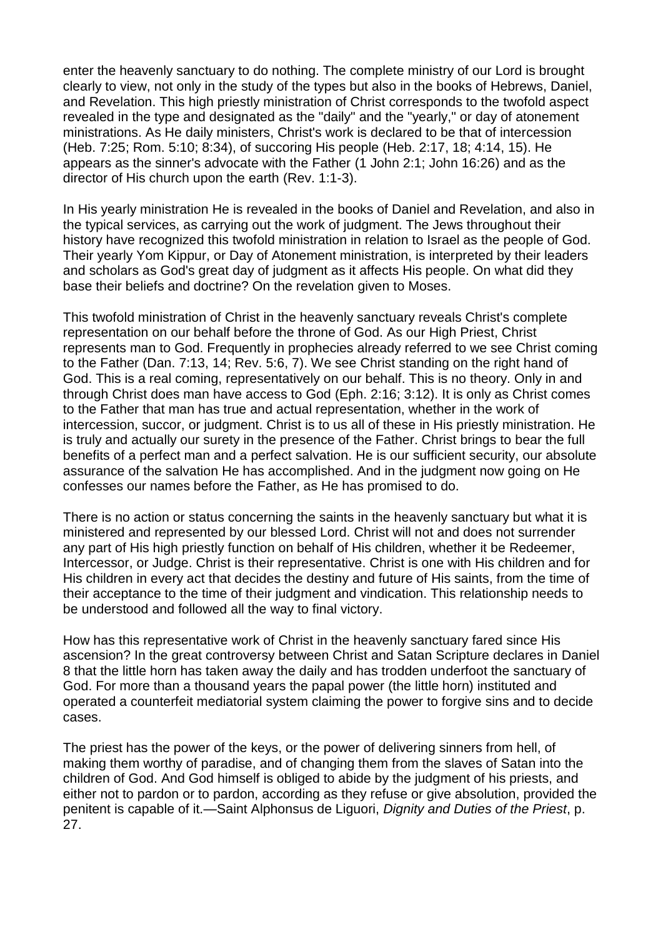enter the heavenly sanctuary to do nothing. The complete ministry of our Lord is brought clearly to view, not only in the study of the types but also in the books of Hebrews, Daniel, and Revelation. This high priestly ministration of Christ corresponds to the twofold aspect revealed in the type and designated as the "daily" and the "yearly," or day of atonement ministrations. As He daily ministers, Christ's work is declared to be that of intercession [\(Heb.](https://biblia.com/bible/esv/Heb.%207.25) 7:25; [Rom.](https://biblia.com/bible/esv/Rom.%205.10) 5:10; [8:34\)](https://biblia.com/bible/esv/Rom%208.34), of succoring His people [\(Heb.](https://biblia.com/bible/esv/Heb.%202.17) 2:17, [18;](https://biblia.com/bible/esv/Heb%202.18) [4:14,](https://biblia.com/bible/esv/Heb%204.14) [15\)](https://biblia.com/bible/esv/Heb%204.15). He appears as the sinner's advocate with the Father (1 [John](https://biblia.com/bible/esv/1%20John%202.1) 2:1; John [16:26\)](https://biblia.com/bible/esv/John%2016.26) and as the director of His church upon the earth (Rev. [1:1-3\)](https://biblia.com/bible/esv/Rev.%201.1-3).

In His yearly ministration He is revealed in the books of Daniel and Revelation, and also in the typical services, as carrying out the work of judgment. The Jews throughout their history have recognized this twofold ministration in relation to Israel as the people of God. Their yearly Yom Kippur, or Day of Atonement ministration, is interpreted by their leaders and scholars as God's great day of judgment as it affects His people. On what did they base their beliefs and doctrine? On the revelation given to Moses.

This twofold ministration of Christ in the heavenly sanctuary reveals Christ's complete representation on our behalf before the throne of God. As our High Priest, Christ represents man to God. Frequently in prophecies already referred to we see Christ coming to the Father [\(Dan.](https://biblia.com/bible/esv/Dan.%207.13) 7:13, [14;](https://biblia.com/bible/esv/Dan%207.14) [Rev.](https://biblia.com/bible/esv/Rev.%205.6) 5:6, [7\)](https://biblia.com/bible/esv/Rev%205.7). We see Christ standing on the right hand of God. This is a real coming, representatively on our behalf. This is no theory. Only in and through Christ does man have access to God [\(Eph.](https://biblia.com/bible/esv/Eph.%202.16) 2:16; [3:12\)](https://biblia.com/bible/esv/Eph%203.12). It is only as Christ comes to the Father that man has true and actual representation, whether in the work of intercession, succor, or judgment. Christ is to us all of these in His priestly ministration. He is truly and actually our surety in the presence of the Father. Christ brings to bear the full benefits of a perfect man and a perfect salvation. He is our sufficient security, our absolute assurance of the salvation He has accomplished. And in the judgment now going on He confesses our names before the Father, as He has promised to do.

There is no action or status concerning the saints in the heavenly sanctuary but what it is ministered and represented by our blessed Lord. Christ will not and does not surrender any part of His high priestly function on behalf of His children, whether it be Redeemer, Intercessor, or Judge. Christ is their representative. Christ is one with His children and for His children in every act that decides the destiny and future of His saints, from the time of their acceptance to the time of their judgment and vindication. This relationship needs to be understood and followed all the way to final victory.

How has this representative work of Christ in the heavenly sanctuary fared since His ascension? In the great controversy between Christ and Satan Scripture declares in [Daniel](https://biblia.com/bible/esv/Dan%208) [8](https://biblia.com/bible/esv/Dan%208) that the little horn has taken away the daily and has trodden underfoot the sanctuary of God. For more than a thousand years the papal power (the little horn) instituted and operated a counterfeit mediatorial system claiming the power to forgive sins and to decide cases.

The priest has the power of the keys, or the power of delivering sinners from hell, of making them worthy of paradise, and of changing them from the slaves of Satan into the children of God. And God himself is obliged to abide by the judgment of his priests, and either not to pardon or to pardon, according as they refuse or give absolution, provided the penitent is capable of it.—Saint Alphonsus de Liguori, *Dignity and Duties of the Priest*, p. 27.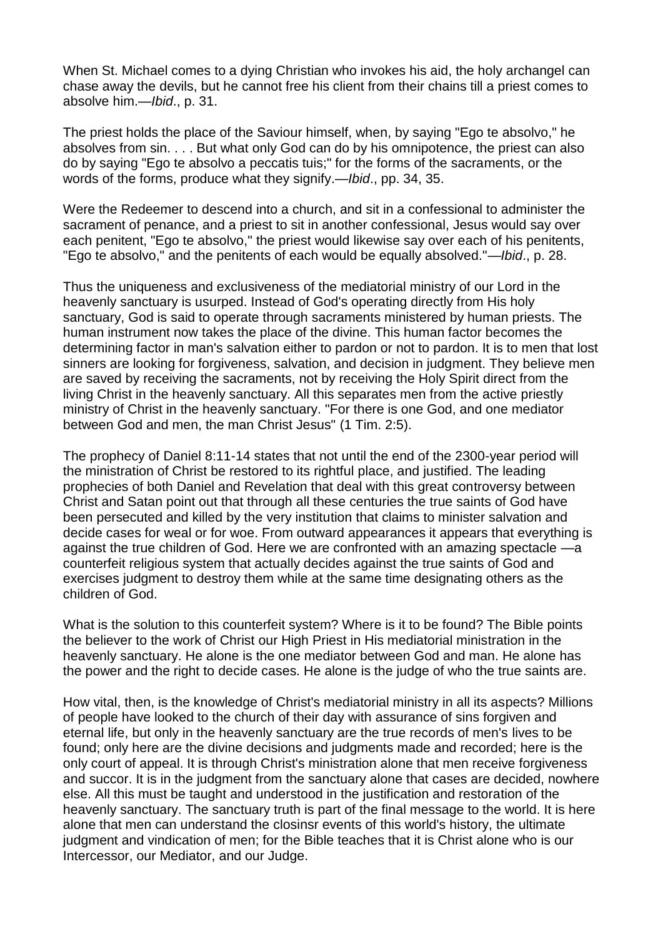When St. Michael comes to a dying Christian who invokes his aid, the holy archangel can chase away the devils, but he cannot free his client from their chains till a priest comes to absolve him.—*Ibid*., p. 31.

The priest holds the place of the Saviour himself, when, by saying "Ego te absolvo," he absolves from sin. . . . But what only God can do by his omnipotence, the priest can also do by saying "Ego te absolvo a peccatis tuis;" for the forms of the sacraments, or the words of the forms, produce what they signify.*—Ibid*., pp. 34, 35.

Were the Redeemer to descend into a church, and sit in a confessional to administer the sacrament of penance, and a priest to sit in another confessional, Jesus would say over each penitent, "Ego te absolvo," the priest would likewise say over each of his penitents, "Ego te absolvo," and the penitents of each would be equally absolved."—*Ibid*., p. 28.

Thus the uniqueness and exclusiveness of the mediatorial ministry of our Lord in the heavenly sanctuary is usurped. Instead of God's operating directly from His holy sanctuary, God is said to operate through sacraments ministered by human priests. The human instrument now takes the place of the divine. This human factor becomes the determining factor in man's salvation either to pardon or not to pardon. It is to men that lost sinners are looking for forgiveness, salvation, and decision in judgment. They believe men are saved by receiving the sacraments, not by receiving the Holy Spirit direct from the living Christ in the heavenly sanctuary. All this separates men from the active priestly ministry of Christ in the heavenly sanctuary. "For there is one God, and one mediator between God and men, the man Christ Jesus" (1 [Tim.](https://biblia.com/bible/esv/1%20Tim.%202.5) 2:5).

The prophecy of Daniel [8:11-14](https://biblia.com/bible/esv/Dan%208.11-14) states that not until the end of the 2300-year period will the ministration of Christ be restored to its rightful place, and justified. The leading prophecies of both Daniel and Revelation that deal with this great controversy between Christ and Satan point out that through all these centuries the true saints of God have been persecuted and killed by the very institution that claims to minister salvation and decide cases for weal or for woe. From outward appearances it appears that everything is against the true children of God. Here we are confronted with an amazing spectacle —a counterfeit religious system that actually decides against the true saints of God and exercises judgment to destroy them while at the same time designating others as the children of God.

What is the solution to this counterfeit system? Where is it to be found? The Bible points the believer to the work of Christ our High Priest in His mediatorial ministration in the heavenly sanctuary. He alone is the one mediator between God and man. He alone has the power and the right to decide cases. He alone is the judge of who the true saints are.

How vital, then, is the knowledge of Christ's mediatorial ministry in all its aspects? Millions of people have looked to the church of their day with assurance of sins forgiven and eternal life, but only in the heavenly sanctuary are the true records of men's lives to be found; only here are the divine decisions and judgments made and recorded; here is the only court of appeal. It is through Christ's ministration alone that men receive forgiveness and succor. It is in the judgment from the sanctuary alone that cases are decided, nowhere else. All this must be taught and understood in the justification and restoration of the heavenly sanctuary. The sanctuary truth is part of the final message to the world. It is here alone that men can understand the closinsr events of this world's history, the ultimate judgment and vindication of men; for the Bible teaches that it is Christ alone who is our Intercessor, our Mediator, and our Judge.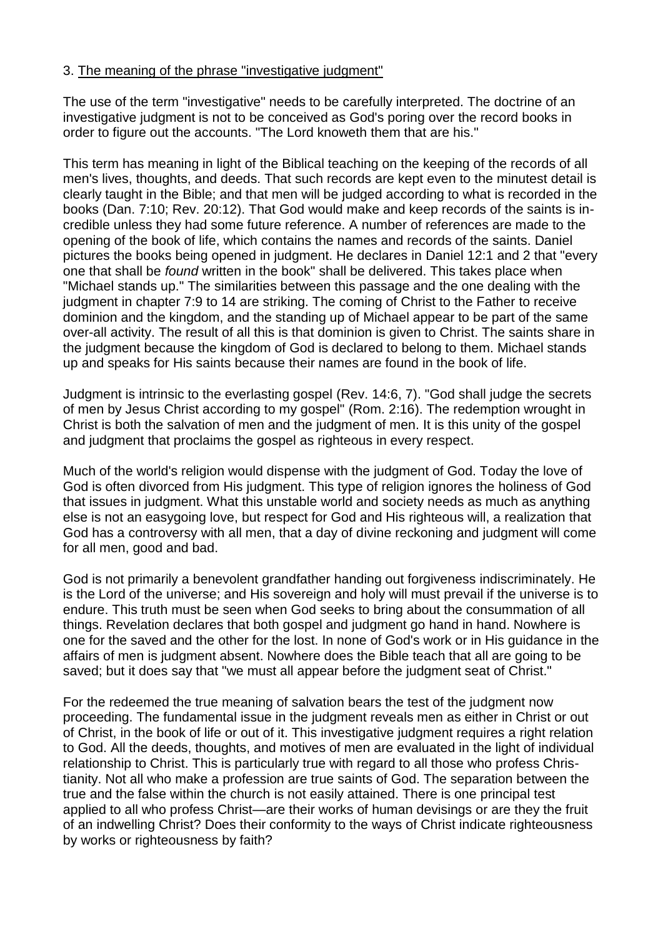#### 3. The meaning of the phrase "investigative judgment"

The use of the term "investigative" needs to be carefully interpreted. The doctrine of an investigative judgment is not to be conceived as God's poring over the record books in order to figure out the accounts. "The Lord knoweth them that are his."

This term has meaning in light of the Biblical teaching on the keeping of the records of all men's lives, thoughts, and deeds. That such records are kept even to the minutest detail is clearly taught in the Bible; and that men will be judged according to what is recorded in the books [\(Dan.](https://biblia.com/bible/esv/Dan.%207.10) 7:10; Rev. [20:12\)](https://biblia.com/bible/esv/Rev.%2020.12). That God would make and keep records of the saints is incredible unless they had some future reference. A number of references are made to the opening of the book of life, which contains the names and records of the saints. Daniel pictures the books being opened in judgment. He declares in [Daniel](https://biblia.com/bible/esv/Dan%2012.1) 12:1 and [2](https://biblia.com/bible/esv/Daniel%2012.2) that "every one that shall be *found* written in the book" shall be delivered. This takes place when "Michael stands up." The similarities between this passage and the one dealing with the judgment in chapter 7:9 to 14 are striking. The coming of Christ to the Father to receive dominion and the kingdom, and the standing up of Michael appear to be part of the same over-all activity. The result of all this is that dominion is given to Christ. The saints share in the judgment because the kingdom of God is declared to belong to them. Michael stands up and speaks for His saints because their names are found in the book of life.

Judgment is intrinsic to the everlasting gospel [\(Rev.](https://biblia.com/bible/esv/Rev.%2014.6) 14:6, [7\)](https://biblia.com/bible/esv/Rev%2014.7). "God shall judge the secrets of men by Jesus Christ according to my gospel" [\(Rom.](https://biblia.com/bible/esv/Rom.%202.16) 2:16). The redemption wrought in Christ is both the salvation of men and the judgment of men. It is this unity of the gospel and judgment that proclaims the gospel as righteous in every respect.

Much of the world's religion would dispense with the judgment of God. Today the love of God is often divorced from His judgment. This type of religion ignores the holiness of God that issues in judgment. What this unstable world and society needs as much as anything else is not an easygoing love, but respect for God and His righteous will, a realization that God has a controversy with all men, that a day of divine reckoning and judgment will come for all men, good and bad.

God is not primarily a benevolent grandfather handing out forgiveness indiscriminately. He is the Lord of the universe; and His sovereign and holy will must prevail if the universe is to endure. This truth must be seen when God seeks to bring about the consummation of all things. Revelation declares that both gospel and judgment go hand in hand. Nowhere is one for the saved and the other for the lost. In none of God's work or in His guidance in the affairs of men is judgment absent. Nowhere does the Bible teach that all are going to be saved; but it does say that "we must all appear before the judgment seat of Christ."

For the redeemed the true meaning of salvation bears the test of the judgment now proceeding. The fundamental issue in the judgment reveals men as either in Christ or out of Christ, in the book of life or out of it. This investigative judgment requires a right relation to God. All the deeds, thoughts, and motives of men are evaluated in the light of individual relationship to Christ. This is particularly true with regard to all those who profess Christianity. Not all who make a profession are true saints of God. The separation between the true and the false within the church is not easily attained. There is one principal test applied to all who profess Christ—are their works of human devisings or are they the fruit of an indwelling Christ? Does their conformity to the ways of Christ indicate righteousness by works or righteousness by faith?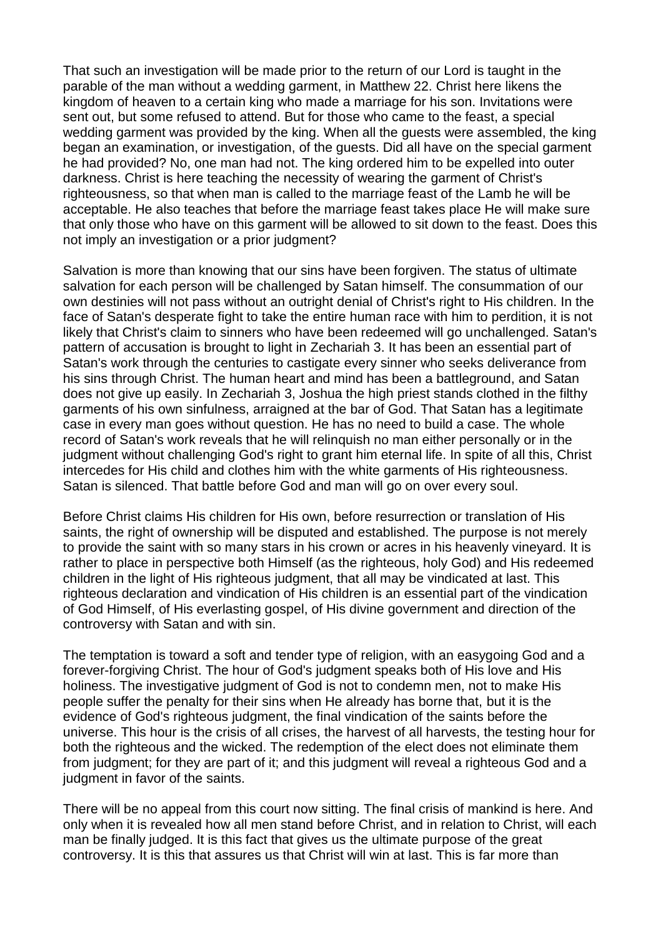That such an investigation will be made prior to the return of our Lord is taught in the parable of the man without a wedding garment, in [Matthew](https://biblia.com/bible/esv/Matt%2022) 22. Christ here likens the kingdom of heaven to a certain king who made a marriage for his son. Invitations were sent out, but some refused to attend. But for those who came to the feast, a special wedding garment was provided by the king. When all the guests were assembled, the king began an examination, or investigation, of the guests. Did all have on the special garment he had provided? No, one man had not. The king ordered him to be expelled into outer darkness. Christ is here teaching the necessity of wearing the garment of Christ's righteousness, so that when man is called to the marriage feast of the Lamb he will be acceptable. He also teaches that before the marriage feast takes place He will make sure that only those who have on this garment will be allowed to sit down to the feast. Does this not imply an investigation or a prior judgment?

Salvation is more than knowing that our sins have been forgiven. The status of ultimate salvation for each person will be challenged by Satan himself. The consummation of our own destinies will not pass without an outright denial of Christ's right to His children. In the face of Satan's desperate fight to take the entire human race with him to perdition, it is not likely that Christ's claim to sinners who have been redeemed will go unchallenged. Satan's pattern of accusation is brought to light in [Zechariah](https://biblia.com/bible/esv/Zech%203) 3. It has been an essential part of Satan's work through the centuries to castigate every sinner who seeks deliverance from his sins through Christ. The human heart and mind has been a battleground, and Satan does not give up easily. In [Zechariah](https://biblia.com/bible/esv/Zech%203) 3, Joshua the high priest stands clothed in the filthy garments of his own sinfulness, arraigned at the bar of God. That Satan has a legitimate case in every man goes without question. He has no need to build a case. The whole record of Satan's work reveals that he will relinquish no man either personally or in the judgment without challenging God's right to grant him eternal life. In spite of all this, Christ intercedes for His child and clothes him with the white garments of His righteousness. Satan is silenced. That battle before God and man will go on over every soul.

Before Christ claims His children for His own, before resurrection or translation of His saints, the right of ownership will be disputed and established. The purpose is not merely to provide the saint with so many stars in his crown or acres in his heavenly vineyard. It is rather to place in perspective both Himself (as the righteous, holy God) and His redeemed children in the light of His righteous judgment, that all may be vindicated at last. This righteous declaration and vindication of His children is an essential part of the vindication of God Himself, of His everlasting gospel, of His divine government and direction of the controversy with Satan and with sin.

The temptation is toward a soft and tender type of religion, with an easygoing God and a forever-forgiving Christ. The hour of God's judgment speaks both of His love and His holiness. The investigative judgment of God is not to condemn men, not to make His people suffer the penalty for their sins when He already has borne that, but it is the evidence of God's righteous judgment, the final vindication of the saints before the universe. This hour is the crisis of all crises, the harvest of all harvests, the testing hour for both the righteous and the wicked. The redemption of the elect does not eliminate them from judgment; for they are part of it; and this judgment will reveal a righteous God and a judgment in favor of the saints.

There will be no appeal from this court now sitting. The final crisis of mankind is here. And only when it is revealed how all men stand before Christ, and in relation to Christ, will each man be finally judged. It is this fact that gives us the ultimate purpose of the great controversy. It is this that assures us that Christ will win at last. This is far more than